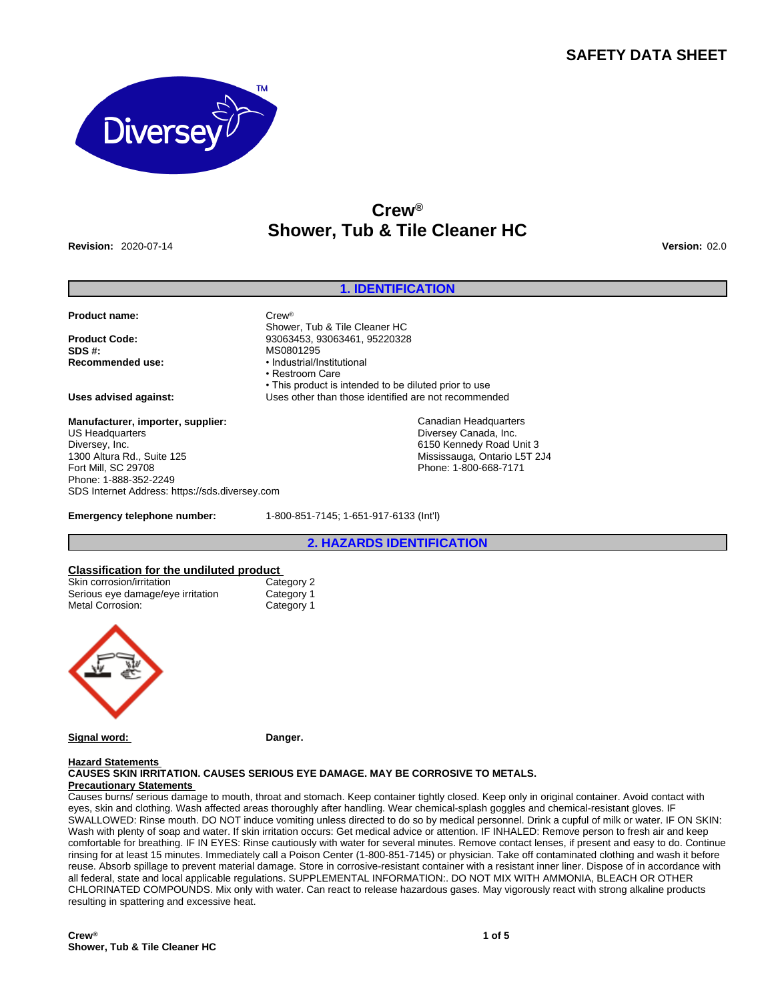# **SAFETY DATA SHEET**



# **Crew® Shower, Tub & Tile Cleaner HC**

**Revision:** 2020-07-14 **Version:** 02.0

# **1. IDENTIFICATION**

#### **Product name:** Crew®

**SDS #:** MS0801295

Shower, Tub & Tile Cleaner HC **Product Code:** 93063453, 93063461, 95220328 **Recommended use:** • Industrial/Institutional • Restroom Care • This product is intended to be diluted prior to use **Uses advised against:** Uses other than those identified are not recommended

> Canadian Headquarters Diversey Canada, Inc. 6150 Kennedy Road Unit 3 Mississauga, Ontario L5T 2J4 Phone: 1-800-668-7171

#### **Manufacturer, importer, supplier:** US Headquarters Diversey, Inc. 1300 Altura Rd., Suite 125 Fort Mill, SC 29708 Phone: 1-888-352-2249 SDS Internet Address: https://sds.diversey.com

**Emergency telephone number:** 1-800-851-7145; 1-651-917-6133 (Int'l)

**2. HAZARDS IDENTIFICATION**

# **Classification for the undiluted product**<br>
Skin corrosion/irritation<br>
Category 2

| Skin corrosion/irritation         | Category 2 |
|-----------------------------------|------------|
| Serious eye damage/eye irritation | Category 1 |
| Metal Corrosion:                  | Category 1 |



Signal word: **Danger.** 

# **Hazard Statements**

**CAUSES SKIN IRRITATION. CAUSES SERIOUS EYE DAMAGE. MAY BE CORROSIVE TO METALS. Precautionary Statements** 

Causes burns/ serious damage to mouth, throat and stomach. Keep container tightly closed. Keep only in original container. Avoid contact with eyes, skin and clothing. Wash affected areas thoroughly after handling. Wear chemical-splash goggles and chemical-resistant gloves. IF SWALLOWED: Rinse mouth. DO NOT induce vomiting unless directed to do so by medical personnel. Drink a cupful of milk or water. IF ON SKIN: Wash with plenty of soap and water. If skin irritation occurs: Get medical advice or attention. IF INHALED: Remove person to fresh air and keep comfortable for breathing. IF IN EYES: Rinse cautiously with water for several minutes. Remove contact lenses, if present and easy to do. Continue rinsing for at least 15 minutes. Immediately call a Poison Center (1-800-851-7145) or physician. Take off contaminated clothing and wash it before reuse. Absorb spillage to prevent material damage. Store in corrosive-resistant container with a resistant inner liner. Dispose of in accordance with all federal, state and local applicable regulations. SUPPLEMENTAL INFORMATION:. DO NOT MIX WITH AMMONIA, BLEACH OR OTHER CHLORINATED COMPOUNDS. Mix only with water. Can react to release hazardous gases. May vigorously react with strong alkaline products resulting in spattering and excessive heat.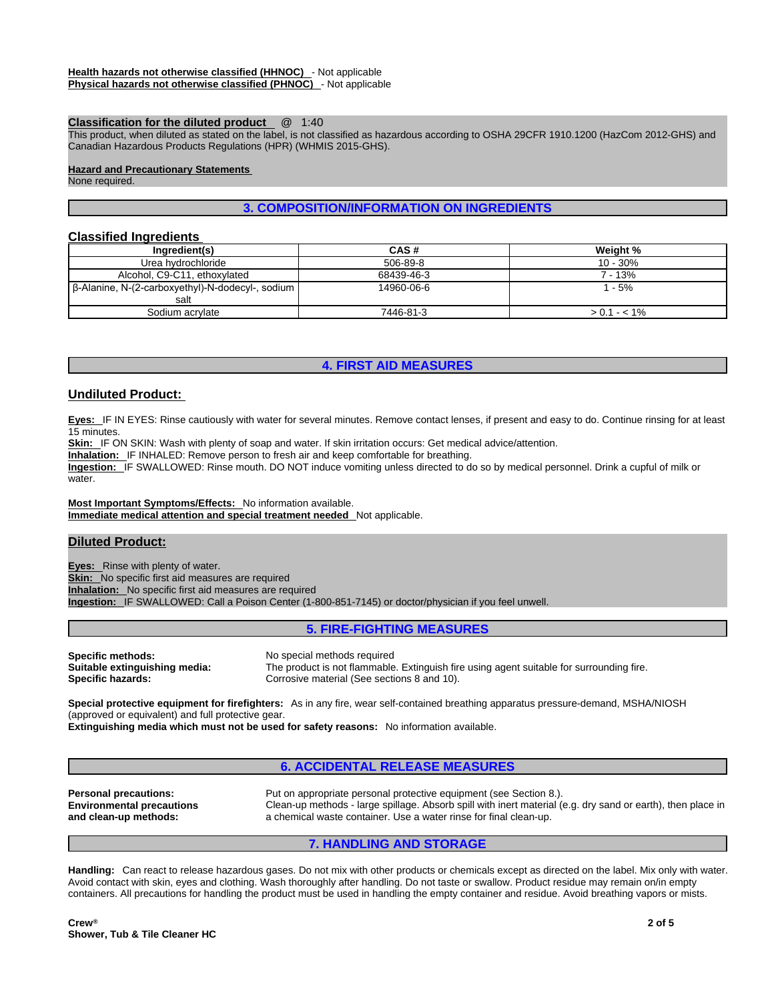### **Classification for the diluted product** @ 1:40

This product, when diluted as stated on the label, is not classified as hazardous according to OSHA 29CFR 1910.1200 (HazCom 2012-GHS) and Canadian Hazardous Products Regulations (HPR) (WHMIS 2015-GHS).

#### **Hazard and Precautionary Statements**

None required.

# **3. COMPOSITION/INFORMATION ON INGREDIENTS**

# **Classified Ingredients**

| Ingredient(s)                                    | CAS#       | Weight %      |
|--------------------------------------------------|------------|---------------|
| Urea hydrochloride                               | 506-89-8   | $10 - 30%$    |
| Alcohol, C9-C11, ethoxylated                     | 68439-46-3 | 7 - 13%       |
| β-Alanine, N-(2-carboxyethyl)-N-dodecyl-, sodium | 14960-06-6 | $1 - 5%$      |
| salt                                             |            |               |
| Sodium acrylate                                  | 7446-81-3  | $> 0.1 - 1\%$ |

# **4. FIRST AID MEASURES**

# **Undiluted Product:**

**Eyes:** IF IN EYES: Rinse cautiously with water for several minutes. Remove contact lenses, if present and easy to do. Continue rinsing for at least 15 minutes.

**Skin:** IF ON SKIN: Wash with plenty of soap and water. If skin irritation occurs: Get medical advice/attention.

**Inhalation:** IF INHALED: Remove person to fresh air and keep comfortable for breathing.

**Ingestion:** IF SWALLOWED: Rinse mouth. DO NOT induce vomiting unless directed to do so by medical personnel. Drink a cupful of milk or water.

**Most Important Symptoms/Effects:** No information available. **Immediate medical attention and special treatment needed** Not applicable.

# **Diluted Product:**

**Eyes:** Rinse with plenty of water. **Skin:** No specific first aid measures are required **Inhalation:** No specific first aid measures are required **Ingestion:** IF SWALLOWED: Call a Poison Center (1-800-851-7145) or doctor/physician if you feel unwell.

# **5. FIRE-FIGHTING MEASURES**

**Specific methods:** No special methods required<br> **Suitable extinguishing media:** The product is not flammable

The product is not flammable. Extinguish fire using agent suitable for surrounding fire. **Specific hazards: Corrosive material (See sections 8 and 10).** Corrosive material (See sections 8 and 10).

**Special protective equipment for firefighters:** As in any fire, wear self-contained breathing apparatus pressure-demand, MSHA/NIOSH (approved or equivalent) and full protective gear.

**Extinguishing media which must not be used for safety reasons:** No information available.

# **6. ACCIDENTAL RELEASE MEASURES**

**Personal precautions:** Put on appropriate personal protective equipment (see Section 8.). **Environmental precautions and clean-up methods:**  Clean-up methods - large spillage. Absorb spill with inert material (e.g. dry sand or earth), then place in a chemical waste container. Use a water rinse for final clean-up.

#### **7. HANDLING AND STORAGE**

**Handling:** Can react to release hazardous gases. Do not mix with other products or chemicals except as directed on the label. Mix only with water. Avoid contact with skin, eyes and clothing. Wash thoroughly after handling. Do not taste or swallow. Product residue may remain on/in empty containers. All precautions for handling the product must be used in handling the empty container and residue. Avoid breathing vapors or mists.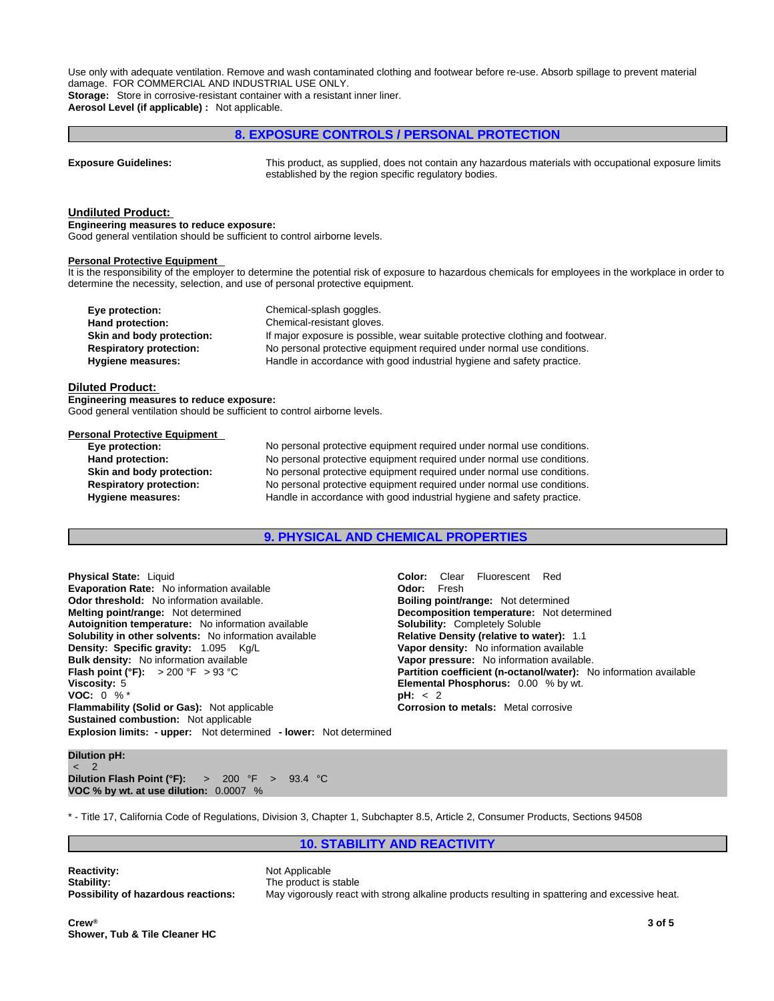Use only with adequate ventilation. Remove and wash contaminated clothing and footwear before re-use. Absorb spillage to prevent material damage. FOR COMMERCIAL AND INDUSTRIAL USE ONLY. **Storage:** Store in corrosive-resistant container with a resistant inner liner.

**Aerosol Level (if applicable) :** Not applicable.

# **8. EXPOSURE CONTROLS / PERSONAL PROTECTION**

**Exposure Guidelines:** This product, as supplied, does not contain any hazardous materials with occupational exposure limits established by the region specific regulatory bodies.

#### **Undiluted Product:**

**Engineering measures to reduce exposure:**

Good general ventilation should be sufficient to control airborne levels.

#### **Personal Protective Equipment**

It is the responsibility of the employer to determine the potential risk of exposure to hazardous chemicals for employees in the workplace in order to determine the necessity, selection, and use of personal protective equipment.

| Eye protection:                | Chemical-splash goggles.                                                       |
|--------------------------------|--------------------------------------------------------------------------------|
| Hand protection:               | Chemical-resistant gloves.                                                     |
| Skin and body protection:      | If major exposure is possible, wear suitable protective clothing and footwear. |
| <b>Respiratory protection:</b> | No personal protective equipment required under normal use conditions.         |
| Hygiene measures:              | Handle in accordance with good industrial hygiene and safety practice.         |

#### **Diluted Product:**

**Engineering measures to reduce exposure:** Good general ventilation should be sufficient to control airborne levels.

#### **Personal Protective Equipment**

**Eye protection:** No personal protective equipment required under normal use conditions. **Hand protection:** No personal protective equipment required under normal use conditions. **Skin and body protection:** No personal protective equipment required under normal use conditions. **Respiratory protection:** No personal protective equipment required under normal use conditions. **Hygiene measures:** Handle in accordance with good industrial hygiene and safety practice.

# **9. PHYSICAL AND CHEMICAL PROPERTIES**

**Explosion limits: - upper:** Not determined **- lower:** Not determined **Physical State:** Liquid **Color:** Clear Fluorescent Red<br> **Evaporation Rate:** No information available **Color:** Color: Fresh **Evaporation Rate:** No information available **Odor threshold:** No information available. **Boiling point/range:** Not determined **Melting point/range:** Not determined **Decomposition temperature:** Not determined **Autoignition temperature:** No information available **Solubility:** Completely Soluble **Solubility in other solvents:** No information available **Relative Density (relative to water):** 1.1 **Density: Specific gravity:** 1.095 Kg/L **Vapor density:** No information available **Bulk density:** No information available **Vapor pressure:** No information available. **Flash point (°F):** > 200 °F > 93 °C **Partition coefficient (n-octanol/water):** No information available **Viscosity:** 5 **Elemental Phosphorus:** 0.00 % by wt. **VOC:** 0 % \* **pH:** < 2 **Flammability (Solid or Gas):** Not applicable **Corrosion to metals:** Metal corrosive **Sustained combustion:** Not applicable

# **Dilution pH:**

 $\sim$  2 and 2 and 2 and 2 and 2 and 2 and 2 and 2 and 2 and 2 and 2 and 2 and 2 and 2 and 2 and 2 and 2 and 2 and 2 and 2 and 2 and 2 and 2 and 2 and 2 and 2 and 2 and 2 and 2 and 2 and 2 and 2 and 2 and 2 and 2 and 2 and **Dilution Flash Point (°F):** > 200 °F > 93.4 °C **VOC % by wt. at use dilution:** 0.0007 %

\* - Title 17, California Code of Regulations, Division 3, Chapter 1, Subchapter 8.5, Article 2, Consumer Products, Sections 94508

**10. STABILITY AND REACTIVITY**

**Reactivity:** Not Applicable **Stability:** The product is stable

**Possibility of hazardous reactions:** May vigorously react with strong alkaline products resulting in spattering and excessive heat.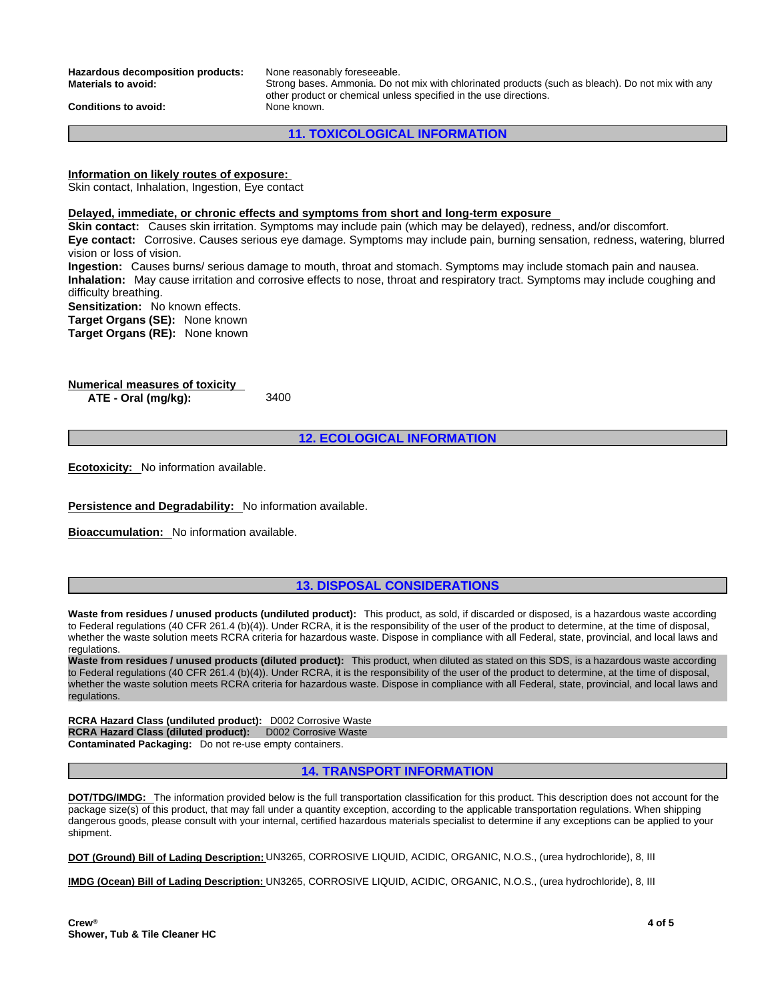**Hazardous decomposition products:** None reasonably foreseeable.<br>**Materials to avoid:** Strong bases. Ammonia. Do ne

**Materials to avoid:** Strong bases. Ammonia. Do not mix with chlorinated products (such as bleach). Do not mix with any other product or chemical unless specified in the use directions.

**Conditions to avoid:** None known.

**11. TOXICOLOGICAL INFORMATION**

# **Information on likely routes of exposure:**

Skin contact, Inhalation, Ingestion, Eye contact

#### **Delayed, immediate, or chronic effects and symptoms from short and long-term exposure**

**Skin contact:** Causes skin irritation. Symptoms may include pain (which may be delayed), redness, and/or discomfort. **Eye contact:** Corrosive. Causes serious eye damage. Symptoms may include pain, burning sensation, redness, watering, blurred vision or loss of vision.

**Ingestion:** Causes burns/ serious damage to mouth, throat and stomach. Symptoms may include stomach pain and nausea. **Inhalation:** May cause irritation and corrosive effects to nose, throat and respiratory tract. Symptoms may include coughing and difficulty breathing.

**Sensitization:** No known effects.

**Target Organs (SE):** None known

**Target Organs (RE):** None known

**Numerical measures of toxicity ATE - Oral (mg/kg):** 3400

**12. ECOLOGICAL INFORMATION**

**Ecotoxicity:** No information available.

**Persistence and Degradability:** No information available.

**Bioaccumulation:** No information available.

# **13. DISPOSAL CONSIDERATIONS**

**Waste from residues / unused products (undiluted product):** This product, as sold, if discarded or disposed, is a hazardous waste according to Federal regulations (40 CFR 261.4 (b)(4)). Under RCRA, it is the responsibility of the user of the product to determine, at the time of disposal, whether the waste solution meets RCRA criteria for hazardous waste. Dispose in compliance with all Federal, state, provincial, and local laws and regulations.

**Waste from residues / unused products (diluted product):** This product, when diluted as stated on this SDS, is a hazardous waste according to Federal regulations (40 CFR 261.4 (b)(4)). Under RCRA, it is the responsibility of the user of the product to determine, at the time of disposal, whether the waste solution meets RCRA criteria for hazardous waste. Dispose in compliance with all Federal, state, provincial, and local laws and<br>regulations.

**RCRA Hazard Class (undiluted product):** D002 Corrosive Waste **RCRA Hazard Class (diluted product):** D002 Corrosive Waste **Contaminated Packaging:** Do not re-use empty containers.

# **14. TRANSPORT INFORMATION**

**DOT/TDG/IMDG:** The information provided below is the full transportation classification for this product. This description does not account for the package size(s) of this product, that may fall under a quantity exception, according to the applicable transportation regulations. When shipping dangerous goods, please consult with your internal, certified hazardous materials specialist to determine if any exceptions can be applied to your<br>shipment.

**DOT (Ground) Bill of Lading Description:** UN3265, CORROSIVE LIQUID, ACIDIC, ORGANIC, N.O.S., (urea hydrochloride), 8, III

**IMDG (Ocean) Bill of Lading Description:** UN3265, CORROSIVE LIQUID, ACIDIC, ORGANIC, N.O.S., (urea hydrochloride), 8, III